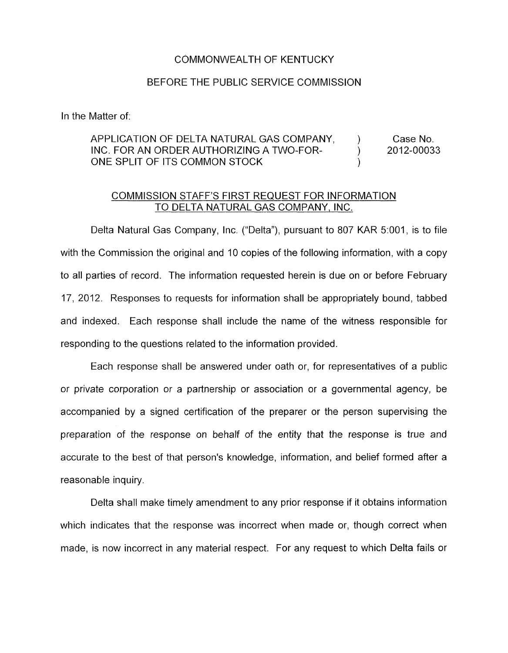## COMMONWEALTH OF KENTUCKY

## BEFORE THE PUBLIC SERVICE COMMISSION

In the Matter of:

## APPLICATION OF DELTA NATURAL GAS COMPANY, Fig. 5. Case No. INC. FOR AN ORDER AUTHORIZING A TWO-FOR- 2012-00033 ONE SPLIT OF ITS COMMON STOCK

## COMMISSION STAFF'S FIRST REQUEST FOR INFORMATION TO DELTA NATURAL GAS COMPANY, INC.

Delta Natural Gas Company, Inc. ("Delta"), pursuant to 807 KAR 5:001, is to file with the Commission the original and 10 copies of the following information, with a copy to all parties of record. The information requested herein is due on or before February 17, 2012. Responses to requests for information shall be appropriately bound, tabbed and indexed. Each response shall include the name of the witness responsible for responding to the questions related to the information provided

Each response shall be answered under oath or, for representatives of a public or private corporation or a partnership or association or a governmental agency, be accompanied by a signed certification of the preparer or the person supervising the preparation of the response on behalf of the entity that the response is true and accurate to the best of that person's knowledge, information, and belief formed after a reasonable inquiry.

Delta shall make timely amendment to any prior response if it obtains information which indicates that the response was incorrect when made or, though correct when made, is now incorrect in any material respect. For any request to which Delta fails or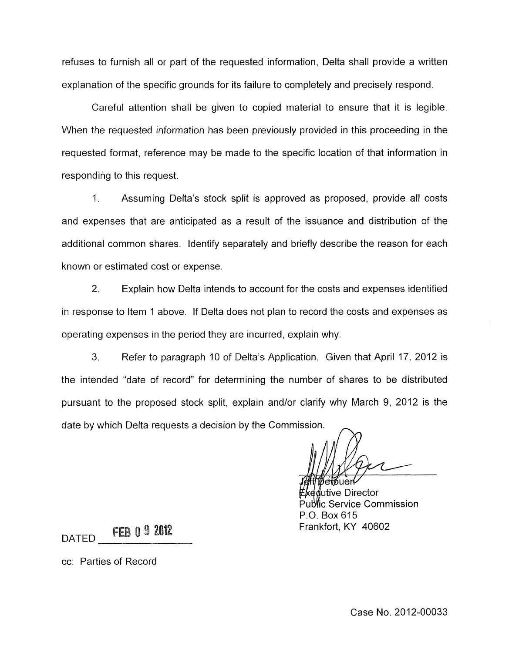refuses to furnish all or part of the requested information. Delta shall provide a written explanation of the specific grounds for its failure to completely and precisely respond.

Careful attention shall be given to copied material to ensure that it is legible. When the requested information has been previously provided in this proceeding in the requested format, reference may be made to the specific location of that information in responding to this request.

1. Assuming Delta's stock split is approved as proposed, provide all costs and expenses that are anticipated as a result of the issuance and distribution of the additional common shares. Identify separately and briefly describe the reason for each known or estimated cost or expense.

2. Explain how Delta intends to account for the costs and expenses identified in response to Item 1 above. If Delta does not plan to record the costs and expenses as operating expenses in the period they are incurred, explain why.

3. Refer to paragraph 10 of Delta's Application. Given that April 17, 2012 is the intended "date of record" for determining the number of shares to be distributed pursuant to the proposed stock split, explain andlor clarify why March 9, 2012 is the date by which Delta requests a decision by the Commission.

utive Director <sup>y</sup>lic Service Commission P.O. Box 615 Frankfort, KY 40602

**DATED FEB 0 9 2012** 

cc: Parties of Record